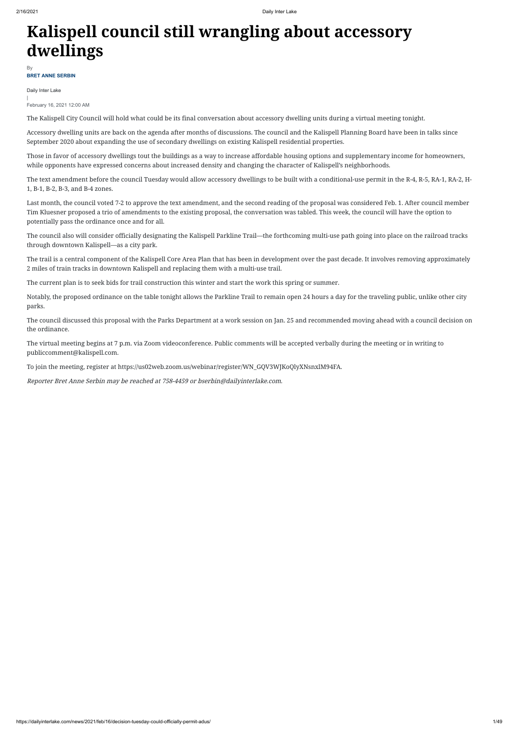# **Kalispell council still wrangling about accessory dwellings**

Daily Inter Lake | February 16, 2021 12:00 AM

The Kalispell City Council will hold what could be its final conversation about accessory dwelling units during a virtual meeting tonight.

Accessory dwelling units are back on the agenda after months of discussions. The council and the Kalispell Planning Board have been in talks since September 2020 about expanding the use of secondary dwellings on existing Kalispell residential properties.

Those in favor of accessory dwellings tout the buildings as a way to increase affordable housing options and supplementary income for homeowners, while opponents have expressed concerns about increased density and changing the character of Kalispell's neighborhoods.

The text amendment before the council Tuesday would allow accessory dwellings to be built with a conditional-use permit in the R-4, R-5, RA-1, RA-2, H-1, B-1, B-2, B-3, and B-4 zones.

Last month, the council voted 7-2 to approve the text amendment, and the second reading of the proposal was considered Feb. 1. After council member Tim Kluesner proposed a trio of amendments to the existing proposal, the conversation was tabled. This week, the council will have the option to potentially pass the ordinance once and for all.

### **BRET ANNE SERBIN** By

The council also will consider officially designating the Kalispell Parkline Trail—the forthcoming multi-use path going into place on the railroad tracks through downtown Kalispell—as a city park.

The trail is a central component of the Kalispell Core Area Plan that has been in development over the past decade. It involves removing approximately 2 miles of train tracks in downtown Kalispell and replacing them with a multi-use trail.

The current plan is to seek bids for trail construction this winter and start the work this spring or summer.

Notably, the proposed ordinance on the table tonight allows the Parkline Trail to remain open 24 hours a day for the traveling public, unlike other city parks.

The council discussed this proposal with the Parks Department at a work session on Jan. 25 and recommended moving ahead with a council decision on the ordinance.

The virtual meeting begins at 7 p.m. via Zoom videoconference. Public comments will be accepted verbally during the meeting or in writing to publiccomment@kalispell.com.

To join the meeting, register at https://us02web.zoom.us/webinar/register/WN\_GQV3WJKoQlyXNsnxlM94FA.

Reporter Bret Anne Serbin may be reached at 758-4459 or bserbin@dailyinterlake.com.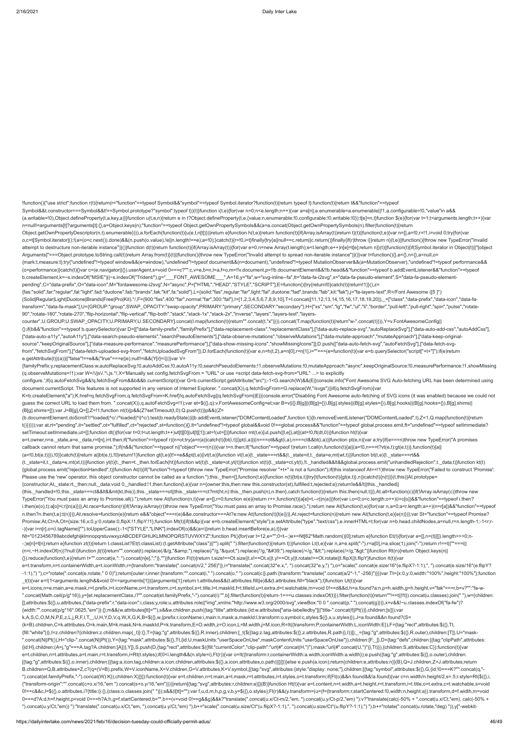!function(){"use strict";function r(t){return(r="function"==typeof Symbol&&"symbol"==typeof Symbol.iterator?function(t){return typeof t}:function(t){return t&&"function"==typeof

(a.writable=!0),Object.defineProperty(t,a.key,a)}}function u(t,e,n){return e in t?Object.defineProperty(t,e,{value:n,enumerable:!0,configurable:!0,writable:!0}):t[e]=n,t}function \$(e){for(var t=1;t<arguments.length;t++){var n=null!=arguments[t]?arguments[t]:{},a=Object.keys(n);"function"==typeof Object.getOwnPropertySymbols&&(a=a.concat(Object.getOwnPropertySymbols(n).filter(function(t){return Object.getOwnPropertyDescriptor(n,t).enumerable}))),a.forEach(function(t){u(e,t,n[t])})}return e}function h(t,e){return function(t){if(Array.isArray(t))return t}(t)||function(t,e){var n=[],a=!0,r=!1,i=void 0;try{for(var o,c=t[Symbol.iterator]();!(a=(o=c.next()).done)&&(n.push(o.value),!e||n.length!==e);a=!0);}catch(t){r=!0,i=t}finally{try{a||null==c.return||c.return()}finally{ff(r)throw i}}return n}(t,e)||function(){throw new TypeError("I attempt to destructure non-iterable instance")}()}function d(t){return function(t){if(Array.isArray(t)}{for(var e=0,n=new Array(t.length);e<t.length;e++)n[e]=t[e];return n}}(t)|[function(t){if(Symbol.iterator in Object(t)|

Symbol&&t.constructor===Symbol&&t!==Symbol.prototype?"symbol":typeof t})(t)}function i(t,e){for(var n=0;n<e.length;n++){var a=e[n];a.enumerable=a.enumerable||!1,a.configurable=!0,"value"in a&&

Arguments]"===Object.prototype.toString.call(t))return Array.from(t)}(t)||function(){throw new TypeError("Invalid attempt to spread non-iterable instance")}()}var t=function(){},e={},n={},a=null,o= {mark:t,measure:t};try{"undefined"!=typeof window&&(e=window),"undefined"!=typeof document&&(n=document),"undefined"!=typeof MutationObserver&&(a=MutationObserver),"undefined"!=typeof performance&& (o=performance)}catch(t){}var c=(e.navigator||{}).userAgent,s=void 0===c?"":c,v=e,b=n,l=a,f=o,m=!!v.document,p=!!b.documentElement&&!!b.head&&"function"==typeof b.addEventListener&&"function"==typeof b.createElement,k=~s.indexOf("MSIE")||~s.indexOf("Trident/"),g="\_\_\_FONT\_AWESOME\_\_\_",A=16,y="fa",w="svg-inline--fa",tt="data-fa-i2svg",x="data-fa-pseudo-element",S="data-fa-pseudo-elementpending",C="data-prefix",O="data-icon",M="fontawesome-i2svg",N="async",P=["HTML","HEAD","STYLE","SCRIPT"],E=function(){try{return!0}catch(t){return!1}}(),z=

configure.';if(q.autoFetchSvg&&!q.fetchSvgFrom&&b&&b.currentScript){var G=b.currentScript.getAttribute("src");-1<G.search(W)&&(E||console.info("Font Awesome SVG Auto-fetching URL has been determined using document.currentScript. This features is not supported in any version of Internet Explorer. ".concat(X)),q.fetchSvgFrom=G.replace(W,"/svgs"))}if(q.fetchSvgFrom){var K=b.createElement("a");K.href=q.fetchSvgFrom,q.fetchSvgFrom=K.href}!q.autoFetchSvg||q.fetchSvgFrom||E||(console.error("Disabling Font Awesome auto-fetching of SVG icons (it was enabled) because we could not guess the correct URL to load them from. ".concat(X)),q.autoFetchSvg=!1);var et=\$({},q);v.FontAwesomeConfig=et;var B=v||{};B[g]||(B[g]={}),B[g].styles||(B[g].styles={}),B[g].hooks||(B[g].hooks||(B[g].hooks={}),B[g].shims||

{fas:"solid",far:"regular",fal:"light",fad:"duotone",fab:"brands",fak:"kit",fa:"solid"},L={solid:"fas",regular:"far",light:"fal",duotone:"fad",brands:"fab",kit:"fak"},j="fa-layers-text",R=/Font Awesome ([5 ]\*) (Solid|Regular|Light|Duotone|Brands|Free|Pro|Kit).\*/,F={900:"fas",400:"far",normal:"far",300:"fal"},I=[1,2,3,4,5,6,7,8,9,10],T=I.concat([11,12,13,14,15,16,17,18,19,20]),\_=["class","data-prefix","data-icon","data-fatransform","data-fa-mask"],U={GROUP:"group",SWAP\_OPACITY:"swap-opacity",PRIMARY:"primary",SECONDARY:"secondary"},H=["xs","sm","lg","fw","ul","li","border","pull-left","pull-right","spin","pulse","rotate-90","rotate-180","rotate-270","flip-horizontal","flip-vertical","flip-both","stack","stack-1x","stack-2x","inverse","layers","layers-text","layerscounter",U.GROUP,U.SWAP\_OPACITY,U.PRIMARY,U.SECONDARY].concat(I.map(function(t){return"".concat(t,"x")})).concat(T.map(function(t){return"w-".concat(t)})),Y=v.FontAwesomeConfig||

callback cannot return that same promise.");if(n&&("function"==typeof n||"object"===r(n))){var t=n.then;if("function"==typeof t)return t.call(n,function(t){a||(a=!0,n===t?vt(e,t):gt(e,t))},function(t){a|| (a=!0,bt(e,t))}),!0}}catch(t){return a||bt(e,t),!0}return!1}function gt(t,e){t!==e&&pt(t,e)||vt(t,e)}function vt(t,e){t.\_state===rt&&(t.\_state=it,t.\_data=e,mt(wt,t))}function bt(t,e){t.\_state===rt&& (t.\_state=it,t.\_data=e,mt(xt,t))}function yt(t){t.\_then=t.\_then.forEach(ht)}function wt(t){t.\_state=ot,yt(t)}function xt(t){t.\_state=ct,yt(t),lt.\_handled&&lt&&global.process.emit("unhandledRejection",t.\_data,t)}function kt {global.process.emit("rejectionHandled",t)}function At(t){if("function"!=typeof t)throw new TypeError("Promise resolver "+t+" is not a function");if(this instanceof At==!1)throw new TypeError("Failed to construct 'Promise': Please use the 'new' operator, this object constructor cannot be called as a function.");this.\_then=[],function(t,e){function n(t){bt(e,t)}try{t(function(t){gt(e,t)},n)}catch(t){n(t)}}(t,this)}At.prototype= {constructor:At,\_state:rt,\_then:null,\_data:void 0,\_handled:!1,then:function(t,e){var n={owner:this,then:new this.constructor(st),fulfilled:t,rejected:e};return!e&&!t||this.\_handled||

{};if(b&&"function"==typeof b.querySelector){var D=[["data-family-prefix","familyPrefix"],["data-replacement-class","replacementClass"],["data-auto-replace-svg","autoReplaceSvg"],["data-auto-add-css","autoAddCss"], ["data-auto-a11y","autoA11y"],["data-search-pseudo-elements","searchPseudoElements"],["data-observe-mutations","observeMutations"],["data-mutate-approach","mutateApproach"],["data-keep-originalsource","keepOriginalSource"],["data-measure-performance","measurePerformance"],["data-show-missing-icons","showMissingIcons"]];D.push(["data-auto-fetch-svg","autoFetchSvg"],["data-fetch-svgfrom","fetchSvgFrom"],["data-fetch-uploaded-svg-from","fetchUploadedSvgFrom"]),D.forEach(function(t){var e,n=h(t,2),a=n[0],r=n[1],i=""===(e=function(t){var e=b.querySelector("script["+t+"]");if(e)return e.getAttribute(t)}(a))||"false"!==e&&("true"===e||e);null!=i&&(Y[r]=i)})}var V=

i.then(e(o),t):a[o]=i;r||n(a)})},At.race=function(r){if(!Array.isArray(r))throw new TypeError("You must pass an array to Promise.race().");return new At(function(t,e){for(var n,a=0;a<r.length;a++)(n=r[a])&&"function"==typeof n.then?n.then(t,e):t(n)})},At.resolve=function(e){return e&&"object"===r(e)&&e.constructor===At?e:new At(function(t){t(e)})},At.reject=function(n){return new At(function(t,e){e(n)})};var St="function"==typeof Promise? Promise:At,Ct=A,Ot={size:16,x:0,y:0,rotate:0,flipX:!1,flipY:!1};function Mt(t){if(t&&p){var e=b.createElement("style");e.setAttribute("type","text/css"),e.innerHTML=t;for(var n=b.head.childNodes,a=null,r=n.length-1;-1<r;r-

-){var i=n[r],o=(i.tagName||"").toUpperCase();-1<["STYLE","LINK"].indexOf(o)&&(a=i)}return b.head.insertBefore(e,a),t}}var Nt="0123456789abcdefghijklmnopqrstuvwxyzABCDEFGHIJKLMNOPQRSTUVWXYZ";function Pt(){for(var t=12,e="";0<t--;)e+=Nt[62\*Math.random()|0];return e}function Et(t){for(var e=[],n=(t||[]).length>>>0;n- -;)e[n]=t[n];return e}function zt(t){return t.classList?Et(t.classList):(t.getAttribute("class")||"").split(" ").filter(function(t){return t})}function Lt(t,e){var n,a=e.split("-"),r=a[0],i=a.slice(1).join("-");return r!== (n=i,~H.indexOf(n))?null:i}function jt(t){return"".concat(t).replace(/&/g,"&").replace(/"/g,""").replace(/'/g,"'").replace(/</g,"&lt;").replace(/>/g,"&dt;")}function Rt(n){return Object.keys(n||

{familyPrefix:y,replacementClass:w,autoReplaceSvg:!0,autoAddCss:!0,autoA11y:!0,searchPseudoElements:!1,observeMutations:!0,mutateApproach:"async",keepOriginalSource:!0,measurePerformance:!1,showMissing (q.observeMutations=!1);var W=/\/js\/.\*\.js.\*/,X='Manually set config.fetchSvgFrom = "URL" or use <script data-fetch-svg-from="URL" ...> to explicitly

(B[g].shims=[]);var J=B[g],Q=[],Z=!1;function nt(t){p&&(Z?setTimeout(t,0):Q.push(t))}p&&((Z= (b.documentElement.doScroll?/^loaded|^c/:/^loaded|^i|^c/).test(b.readyState))||b.addEventListener("DOMContentLoaded",function t(){b.removeEventListener("DOMContentLoaded",t),Z=1,Q.map(function(t){return t()})}));var at,rt="pending",it="settled",ot="fulfilled",ct="rejected",st=function(){},lt="undefined"!=typeof global&&void 0!==global.process&&"function"==typeof global.process.emit,ft="undefined"==typeof setImmediate?

setTimeout:setImmediate,ut=[];function dt(){for(var t=0;t<ut.length;t++)ut[t][0](ut[t][1]);at=!(ut=[])}function mt(t,e){ut.push([t,e]),at||(at=!0,ft(dt,0))}function ht(t){var

e=t.owner,n=e.\_state,a=e.\_data,r=t[n],i=t.then;if("function"==typeof r){n=ot;try{a=r(a)}catch(t){bt(i,t)}}pt(i,a)||(n===ot&&gt(i,a),n===ct&&bt(i,a))}function pt(e,n){var a;try{if(e===n)throw new TypeError("A promises

(this.\_handled=!0,this.\_state===ct&&lt&&mt(kt,this)),this.\_state===ot||this.\_state===ct?mt(ht,n):this.\_then.push(n),n.then},catch:function(t){return this.then(null,t)}},At.all=function(c){if(!Array.isArray(c))throw new TypeError("You must pass an array to Promise.all().");return new At(function(n,t){var a=[],r=0;function e(e){return r++,function(t){a[e]=t,--r||n(a)}}for(var i,o=0;o<c.length;o++)(i=c[o])&&"function"==typeof i.then?

{}).reduce(function(t,e){return t+"".concat(e,": ").concat(n[e],";")},"")}function Ft(t){return t.size!==Ot.size||t.x!==Ot.x||t.y!==Ot.y||t.rotate!==Ot.rotate||t.flipX||t.flipY}function It(t){var e=t.transform,n=t.containerWidth,a=t.iconWidth,r={transform:"translate(".concat(n/2," 256)")},i="translate(".concat(32\*e.x,", ").concat(32\*e.y,") "),o="scale(".concat(e.size/16\*(e.flipX?-1:1),", ").concat(e.size/16\*(e.flip -1:1),") "),c="rotate(".concat(e.rotate," 0 0)");return{outer:r,inner:{transform:"".concat(i," ").concat(o," ").concat(c)},path:{transform:"translate(".concat(a/2\*-1,"-256)"}}}}var Tt={x:0,y:0,width:"100%",height:"100%"};f \_t(t){var e=!(1<arguments.length&&void 0!==arguments[1])||arguments[1];return t.attributes&&(t.attributes.fill||e)&&(t.attributes.fill="black"),t}function Ut(t){var e=t.icons,n=e.main,a=e.mask,r=t.prefix,i=t.iconName,o=t.transform,c=t.symbol,s=t.title,l=t.maskId,f=t.titleId,u=t.extra,d=t.watchable,m=void 0!==d&&d,h=a.found?a:n,p=h.width,g=h.height,v="fak"===r,b=v?"":"fa-w- ".concat(Math.ceil(p/g\*16)),y=[et.replacementClass,i?"".concat(et.familyPrefix,"-").concat(i):"",b].filter(function(t){return-1===u.classes.indexOf(t)}).filter(function(t){return"!==t|!!!!}).concat(u.classes).join(""),w={c [],attributes:\$({},u.attributes,{"data-prefix":r,"data-icon":i,class:y,role:u.attributes.role||"img",xmlns:"http://www.w3.org/2000/svg",viewBox:"0 0 ".concat(p," ").concat(g)})},x=v&&!~u.classes.indexOf("fa-fw")? {width:"".concat(p/g\*16\*.0625,"em")}:{};m&&(w.attributes[tt]=""),s&&w.children.push({tag:"title",attributes:{id:w.attributes["aria-labelledby"]||"title-".concat(f||Pt())},children:[s]});var k,A,S,C,O,M,N,P,E,z,L,j,R,F,I,T,\_,U,H,Y,D,V,q,W,X,G,K,B=\$({},w,{prefix:r,iconName:i,main:n,mask:a,maskId:l,transform:o,symbol:c,styles:\$({},x,u.styles)}),J=a.found&&n.found?(S= (k=B).children,C=k.attributes,O=k.main,M=k.mask,N=k.maskId,P=k.transform,E=O.width,z=O.icon,L=M.width,j=M.icon,R=It({transform:P,containerWidth:L,iconWidth:E}),F={tag:"rect",attributes:\$({},Tt, {fill:"white"})},l=z.children?{children:z.children.map(\_t)}:{},T={tag:"g",attributes:\$({},R.inner),children:[\_t(\$({tag:z.tag,attributes:\$({},R.attributes:\$({},R.attributes:\$({},attributes:\$({},R.attributes:\$({},R.outer),ch ".concat(N||Pt()),H="clip-".concat(N||Pt()),Y={tag:"mask",attributes:\$({},Tt,{id:U,maskUnits:"userSpaceOnUse",maskContentUnits:"userSpaceOnUse"}),children:[F,\_]},D={tag:"defs",children:[{tag:"clipPath",attributes: {id:H},children:(A=j,"g"===A.tag?A.children:[A])},Y]},S.push(D,{tag:"rect",attributes:\$({fill:"currentColor","clip-path":"url(#".concat(H,")"),mask:"url(#".concat(U,")")},Tt)}),{children:S,attributes:C}):function(t){var e=t.children,n=t.attributes,a=t.main,r=t.transform,i=Rt(t.styles);if(0<i.length&&(n.style=i),Ft(r)){var o=It({transform:r,containerWidth:a.width,iconWidth:a.width});e.push({tag:"g",attributes:\$({},o.outer),children: [{tag:"g",attributes:\$({},o.inner),children:[{tag:a.icon.tag,children:a.icon.children,attributes:\$({},a.icon.attributes,o.path)}]}]})}else e.push(a.icon);return{children:e,attributes:n}}(B),Q=J.children,Z=J.attributes;return B.children=Q,B.attributes=Z,c?(q=(V=B).prefix,W=V.iconName,X=V.children,G=V.attributes,K=V.symbol,[{tag:"svg",attributes:{style:"display: none;"},children:[{tag:"symbol",attributes:\$({},G,{id:!0===K?"".concat(q,"- ").concat(et.familyPrefix,"-").concat(W):K}),children:X}]}]):function(t){var e=t.children,n=t.main,a=t.mask,r=t.attributes,i=t.styles,o=t.transform;if(Ft(o)&&n.found&&!a.found){var c=n.width/n.height/2,s=.5;r.style=Rt(\${{} {"transform-origin":"".concat(c+o.x/16,"em ").concat(s+o.y/16,"em")}))}return[{tag:"svg",attributes:r,children:e}]}(B)}function Ht(t){var e=t.content,n=t.width,a=t.height,r=t.transform,i=t.title,o=t.extra,c=t.watchable,s=v 0!==c&&c,l=\$({},o.attributes,i?{title:i}:{},{class:o.classes.join(" ")});s&&(l[tt]="");var f,u,d,m,h,p,g,v,b,y=\$({},o.styles);Ft(r)&&(y.transform=(u=(f={transform:r,startCentered:!0,width:n,height:a}).transform,d=f.width,m 0===d?A:d,h=f.height,p=void 0===h?A:h,g=f.startCentered,b="",b+=(v=void 0!==g&&g)&&k?"translate(".concat(u.x/Ct-m/2,"em, ").concat(u.y/Ct-p/2,"em) "):v?"translate(calc(-50% + ".concat(u.x/Ct,"em), calc(-50% + ").concat(u.y/Ct,"em)) "):"translate(".concat(u.x/Ct,"em, ").concat(u.y/Ct,"em) "),b+="scale(".concat(u.size/Ct\*(u.flipX?-1:1),", ").concat(u.size/Ct\*(u.flipY?-1:1),") "),b+="rotate(".concat(u.rotate,"deg) ")),y["-webkit-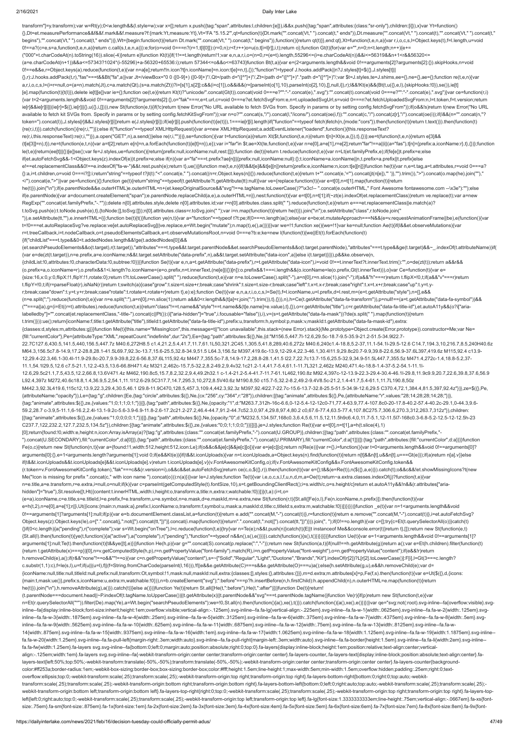### 2/16/2021 Daily Inter Lake

transform"]=y.transform);var w=Rt(y);0<w.length&&(l.style=w);var x=[];return x.push({tag:"span",attributes:l,children:[e]}),i&&x.push({tag:"span",attributes:{class:"sr-only"},children:[i]}),x}var Yt=function() {},Dt=et.measurePerformance&&f&&f.mark&&f.measure?f:{mark:Yt,measure:Yt},Vt='FA "5.15.2"',qt=function(t){Dt.mark("".concat(Vt," ").concat(t," ends")),Dt.measure("".concat(Vt," ").concat(t),"".concat(Vt," ").concat(t," begins"),"".concat(Vt," ").concat(t," ends"))},Wt={begin:function(t){return Dt.mark("".concat(Vt," ").concat(t," begins")),function({}feturn qt(t)}},end:qt},Xt=function(t,e,n,a){var r,i,o,c,s,l=Object.keys(t),f=l.length,u= 0!==a?(c=e,s=a,function(t,e,n,a){return c.call(s,t,e,n,a)}):e;for(o=void 0===n?(r=1,t[l[0]]):(r=0,n);r<f;r++)o=u(o,t[i=l[r]],i,t);return o};function Gt(t){for(var e="",n=0;n<t.length;n++){e+= ("000"+t.charCodeAt(n).toString(16)).slice(-4)}return e}function Kt(t){if(1!==t.length)return!1;var e,n,a,r,i,o=(n=0,r=(e=t).length,55296<=(i=e.charCodeAt(n))&&i<=56319&&n+1<r&&56320<= (a=e.charCodeAt(n+1))&&a<=57343?1024\*(i-55296)+a-56320+65536:i);return 57344<=o&&o<=63743}function Bt(t,a){var e=(2<arguments.length&&void 0!==arguments[2]?arguments[2]:{}).skipHooks,n=void 0!==e&&e,r=Object.keys(a).reduce(function(t,e){var n=a[e];return!!n.icon?t[n.iconName]=n.icon:t[e]=n,t},{});"function"!=typeof J.hooks.addPack||n?J.styles[t]=\$({},J.styles[t]|| {},r):J.hooks.addPack(t,r),"fas"===t&&Bt("fa",a)}var Jt=/viewBox="0 0 ([0-9]+) ([0-9]+)"/,Qt=/path d="([^"]+)"/,Zt=/path d="([^"]+)".\*path d="([^"]+)"/;var \$t=J.styles,te=J.shims,ee={},ne={},ae={};function re(t,e,n){var a,r,i,o,c,s,l=(i=r=null,o=(a=n).match(Jt),c=a.match(Qt),(s=a.match(Zt))?i=[s[1],s[2]]:c&&(i=c[1]),o&&i&&(r=[parseInt(o[1],10),parseInt(o[2],10),[],null,i]),r);l&&!Kt(e)&&(Bt(t,u({},e,l),{skipHooks:!0}),se()),ie[t] [e].map(function(t){t(l)}),delete ie[t][e]}var ie={};function oe(t,e){return Kt(t)?"unicode/".concat(Gt(t)).concat(void 0===e?"":"-".concat(e),".svg"):"".concat(t).concat(toid 0===e?"":"-".concat(oid 0===e?"":"-".concat(e) {var t=2<arguments.length&&void 0!==arguments[2]?arguments[2]:{},o="fak"===r,e=t.url,c=void 0===e?et.fetchSvgFrom:e,n=t.uploadedSvgUrl,s=void 0===n?et.fetchUploadedSvgFrom:n,l=t.token,f=t.version;return ie[r]&&ie[r][i]]|(ie[r]=\$({},ie[r]||{},u({},i,[]))),new St(function(e,t){if(!c)return t(new Error("No URL available to fetch SVGs from. Specify in params or by setting config.fetchSvgFrom"));if(o&&!s)return t(new Error("No available to fetch kit SVGs from. Specify in params or by setting config.fetchKitSvgFrom"));var n=o?"".concat(s,"/").concat(l,"/icons/").concat(oe(i,f)):"".concat(c,"/").concat(z[r],"/").concat(oe(i));if(l&&(n="".concat(n, token=").concat(l)),J.styles[r]&&J.styles[r][i])return e(J.styles[r][i]);if(ie[r][i].push(function(t){e(t)}),1===ie[r][i].length)if("function"==typeof fetch)fetch(n,{mode:"cors"}).then(function(t){return t.text()}).then(fu {re(r,i,t)}).catch(function(){re(r,i,"")});else if("function"==typeof XMLHttpRequest){var a=new XMLHttpRequest;a.addEventListener("loadend",function(){this.responseText? re(r,i,this.responseText):re(r,i,"")}),a.open("GET",n),a.send()}else re(r,i,"")})},se=function(){var t=function(a){return Xt(\$t,function(t,e,n){return t[n]=Xt(e,a,{}),t},{})};ee=t(function(t,e,n){return e[3]&& (t[e[3]]=n),t}),ne=t(function(e,t,n){var a=t[2];return e[n]=n,a.forEach(function(t){e[t]=n}),e});var i="far"in \$t;ae=Xt(te,function(t,e){var n=e[0],a=e[1],r=e[2];return"far"!==a||i||(a="fas"),t[n]={prefix:a,iconName:r},t}, le(t,e){return(ee[t]||{})[e]}se();var fe=J.styles,ue=function(){return{prefix:null,iconName:null,rest:[]}};function de(t){return t.reduce(function(t,e){var n=Lt(et.familyPrefix,e);if(fe[e])t.prefix=e;else if(et.autoFetchSvg&&-1<Object.keys(z).indexOf(e))t.prefix=e;else if(n){var a="fa"===t.prefix?ae[n]||{prefix:null,iconName:null}:{};t.iconName=a.iconName||n,t.prefix=a.prefix||t.prefix}else e!==et.replacementClass&&0!==e.indexOf("fa-w-")&&t.rest.push(e);return t},ue())}function me(t,e,n){if(t&&t[e]&&t[e][n])return{prefix:e,iconName:n,icon:t[e][n]}}function he(t){var n,e=t.tag,a=t.attributes,r=void 0===a?  $\{ \} : a, \texttt{jet}, \texttt{children}, o = \texttt{void } 0 == \texttt{if} \\ \texttt{if} \\ \texttt{if} \\ \texttt{if} \\ \texttt{if} \\ \texttt{if} \\ \texttt{if} \\ \texttt{if} \\ \texttt{if} \\ \texttt{if} \\ \texttt{if} \\ \texttt{if} \\ \texttt{if} \\ \texttt{if} \\ \texttt{if} \\ \texttt{if} \\ \texttt{if} \\ \texttt{if} \\ \texttt{if} \\ \texttt{if} \\ \texttt{if} \\ \texttt{if} \\ \texttt{if} \\ \texttt{if} \\ \texttt{if} \\ \texttt{if} \\ \texttt{if} \\ \$ </").concat(e,">")}var pe=function(){};function ge(t){return"string"==typeof(t.getAttribute?t.getAttribute(tt):null)}var ve={replace:function(t){var e=t[0],n=t[1].map(function(t){return he(t)}).join("\n");if(e.parentNode&&e.outerHTML)e.outerHTML=n+(et.keepOriginalSource&&"svg"!==e.tagName.toLowerCase()?"\x3c!-- ".concat(e.outerHTML," Font Awesome fontawesome.com --\x3e"):"");else if(e.parentNode){var a=document.createElement("span");e.parentNode.replaceChild(a,e),a.outerHTML=n}},nest:function(t){var e=t[0],n=t[1];if(~zt(e).indexOf(et.replacementClass))return ve.replace(t);var a=new RegExp("".concat(et.familyPrefix,"-.\*"));delete n[0].attributes.style,delete n[0].attributes.id;var r=n[0].attributes.class.split(" ").reduce(function(t,e){return e===et.replacementClass||e.match(a)? t.toSvg.push(e):t.toNode.push(e),t},{toNode:[],toSvg:[]});n[0].attributes.class=r.toSvg.join(" ");var i=n.map(function(t){return he(t)}).join("\n");e.setAttribute("class",r.toNode.join(" ")),e.setAttribute(tt,""),e.innerHTML=i}};function be(t){t()}function ye(n,t){var a="function"==typeof t?t:pe;if(0===n.length)a();else{var e=be;et.mutateApproach===N&&(e=v.requestAnimationFrame||be),e(function(){var t=!0===et.autoReplaceSvg?ve.replace:ve[et.autoReplaceSvg]||ve.replace,e=Wt.begin("mutate");n.map(t),e(),a()})}}var we=!1;function xe(){we=!1}var ke=null;function Ae(t){if(l&&et.observeMutations){var r=t.treeCallback,i=t.nodeCallback,o=t.pseudoElementsCallback,e=t.observeMutationsRoot,n=void 0===e?b:e;ke=new l(function(t){we||Et(t).forEach(function(t) {if("childList"===t.type&&0<t.addedNodes.length&&!ge(t.addedNodes[0])&& (et.searchPseudoElements&&o(t.target),r(t.target)),"attributes"===t.type&&t.target.parentNode&&et.searchPseudoElements&&o(t.target.parentNode),"attributes"===t.type&&ge(t.target)&&~\_.indexOf(t.attributeName))if( {var e=de(zt(t.target)),n=e.prefix,a=e.iconName;n&&t.target.setAttribute("data-prefix",n),a&&t.target.setAttribute("data-icon",a)}else i(t.target)})}),p&&ke.observe(n, {childList:!0,attributes:!0,characterData:!0,subtree:!0})}}function Se(t){var e,n,a=t.getAttribute("data-prefix"),r=t.getAttribute("data-icon"),i=void 0!==t.innerText?t.innerText.trim():"",o=de(zt(t));return a&&r&& (o.prefix=a,o.iconName=r),o.prefix&&1<i.length?o.iconName=(e=o.prefix,n=t.innerText,(ne[e]||{})[n]):o.prefix&&1===i.length&&(o.iconName=le(o.prefix,Gt(t.innerText))),o}var Ce=function(t){var e= {size:16,x:0,y:0,flipX:!1,flipY:!1,rotate:0};return t?t.toLowerCase().split(" ").reduce(function(t,e){var n=e.toLowerCase().split("-"),a=n[0],r=n.slice(1).join("-");if(a&&"h"===r)return t.flipX=!0,t;if(a&&"v"===r)return t.flipY=!0,t;if(r=parseFloat(r),isNaN(r))return t;switch(a){case"grow":t.size=t.size+r;break;case"shrink":t.size=t.size-r;break;case"left":t.x=t.x-r;break;case"right":t.x=t.x+r;break;case"up":t.y=t.yr;break;case"down":t.y=t.y+r;break;case"rotate":t.rotate=t.rotate+r}return t},e):e};function Oe(t){var e,n,a,r,i,o,c,s,l=Se(t),f=l.iconName,u=l.prefix,d=l.rest,m=(e=t.getAttribute("style"),n=[],e&& (n=e.split(";").reduce(function(t,e){var n=e.split(":"),a=n[0],r=n.slice(1);return a&&0<r.length&&(t[a]=r.join(":").trim()),t},{})),n),h=Ce(t.getAttribute("data-fa-transform")),p=null!==(a=t.getAttribute("data-fa-symbol"))&& (""===a||a),g=(i=Et((r=t).attributes).reduce(function(t,e){return"class"!==t.name&&"style"!==t.name&&(t[e.name]=e.value),t},{}),o=r.getAttribute("title"),c=r.getAttribute("data-fa-title-id"),et.autoA11y&&(o?i["arialabelledby"]="".concat(et.replacementClass,"-title-").concat(c||Pt()):(i["aria-hidden"]="true",i.focusable="false")),i),v=(s=t.getAttribute("data-fa-mask"))?de(s.split(" ").map(function(t){return t.trim()})):ue();return{iconName:f,title:t.getAttribute("title"),titleId:t.getAttribute("data-fa-title-id"),prefix:u,transform:h,symbol:p,mask:v,maskId:t.getAttribute("data-fa-mask-id"),extra: {classes:d,styles:m,attributes:g}}}function Me(t){this.name="MissingIcon",this.message=t||"Icon unavailable",this.stack=(new Error).stack}(Me.prototype=Object.create(Error.prototype)).constructor=Me;var Ne= {fill:"currentColor"},Pe={attributeType:"XML",repeatCount:"indefinite",dur:"2s"},Ee={tag:"path",attributes:\$({},Ne,{d:"M156.5,447.7l-12.6,29.5c-18.7-9.5-35.9-21.2-51.5-34.9l22.7- 22.7C127.6,430.5,141.5,440,156.5,447.7z M40.6,272H8.5 c1.4,21.2,5.4,41.7,11.7,61.1L50,321.2C45.1,305.5,41.8,289,40.6,272z M40.6,240c1.4-18.8,5.2-37,11.1-54.1l-29.5-12.6 C14.7,194.3,10,216.7,8.5,240H40.6z M64.3,156.5c7.8-14.9,17.2-28.8,28.1-41.5L69.7,92.3c-13.7,15.6-25.5,32.8-34.9,51.5 L64.3,156.5z M397,419.6c-13.9,12-29.4,22.3-46.1,30.4l11.9,29.8c20.7-9.9,39.8-22.6,56.9-37.6L397,419.6z M115,92.4 c13.9- 12,29.4-22.3,46.1-30.4l-11.9-29.8c-20.7,9.9-39.8,22.6-56.8,37.6L115,92.4z M447.7,355.5c-7.8,14.9-17.2,28.8-28.1,41.5 l22.7,22.7c13.7-15.6,25.5-32.9,34.9-51.5L447.7,355.5z M471.4,272c-1.4,18.8-5.2,37- 11.1,54.1l29.5,12.6 c7.5-21.1,12.2-43.5,13.6-66.8H471.4z M321.2,462c-15.7,5-32.2,8.2-49.2,9.4v32.1c21.2-1.4,41.7-5.4,61.1-11.7L321.2,462z M240,471.4c-18.8-1.4-37-5.2-54.1-11.1l-12.6,29.5c21.1,7.5,43.5,12.2,66.8,13.6V471.4z M462,190.8c5,15.7,8.2,32.2,9.4,49.2h32.1 c-1.4-21.2-5.4-41.7-11.7-61.1L462,190.8z M92.4,397c-12-13.9-22.3-29.4-30.4-46.1l-29.8,11.9c9.9,20.7,22.6,39.8,37.6,56.9 L92.4,397z M272,40.6c18.8,1.4,36.9,5.2,54.1,11.1l12.6-29.5C317.7,14.7,295.3,10,272,8.5V40.6z M190.8,50 c15.7-5,32.2-8.2,49.2-9.4V8.5c-21.2,1.4-41.7,5.4-61.1,11.7L190.8,50z M442.3,92.3L419.6,115c12,13.9,22.3,29.4,30.5,46.1 l29.8-11.9C470,128.5,457.3,109.4,442.3,92.3z M397,92.4l22.7-22.7c-15.6-13.7-32.8-25.5-51.5-34.9l-12.6,29.5 C370.4,72.1,384.4,81.5,397,92.4z"})},ze=\$({},Pe, {attributeName:"opacity"}),Le={tag:"g",children:[Ee,{tag:"circle",attributes:\$({},Ne,{cx:"256",cy:"364",r:"28"}),children:[{tag:"animate",attributes:\$({},Pe,{attributeName:"r",values:"28;14;28;28;14;28;"})}, {tag:"animate",attributes:\$({},ze,{values:"1;0;1;1;0;1;"})}]},{tag:"path",attributes:\$({},Ne,{opacity:"1",d:"M263.7,312h-16c-6.6,0-12-5.4-12-12c0-71,77.4-63.9,77.4-107.8c0-20-17.8-40.2-57.4-40.2c-29.1,0-44.3,9.6- 59.2,28.7 c-3.9,5-11.1,6-16.2,2.4l-13.1-9.2c-5.6-3.9-6.9-11.8-2.6-17.2c21.2-27.2,46.4-44.7,91.2-44.7c52.3,0,97.4,29.8,97.4,80.2 c0,67.6-77.4,63.5-77.4,107.8C275.7,306.6,270.3,312,263.7,312z"}),children: [{tag:"animate",attributes:\$({},ze,{values:"1;0;0;0;0;1;"})}]},{tag:"path",attributes:\$({},Ne,{opacity:"0",d:"M232.5,134.5l7,168c0.3,6.4,5.6,11.5,12,11.5h9c6.4,0,11.7-5.1,12-11.5l7-168c0.3-6.8-5.2-12.5-12-12.5h-23 C237.7,122,232.2,127.7,232.5,134.5z"}),children:[{tag:"animate",attributes:\$({},ze,{values:"0;0;1;1;0;0;"})}]}]},je=J.styles;function Re(t){var e=t[0],n=t[1],a=h(t.slice(4),1) [0];return{found:!0,width:e,height:n,icon:Array.isArray(a)?{tag:"g",attributes:{class:"".concat(et.familyPrefix,"-").concat(U.GROUP)},children:[{tag:"path",attributes:{class:"".concat(et.familyPrefix,"- ").concat(U.SECONDARY),fill:"currentColor",d:a[0]}},{tag:"path",attributes:{class:"".concat(et.familyPrefix,"-").concat(U.PRIMARY),fill:"currentColor",d:a[1]}}]}:{tag:"path",attributes:{fill:"currentColor",d:a}}}}function Fe(o,c){return new St(function(n,t){var a={found:!1,width:512,height:512,icon:Le};if(o&&c&&je[c]&&je[c][o]){var e=je[c][o];return n(Re(e))}var r={},i=function(){var t=0<arguments.length&&void 0!==arguments[0]? arguments[0]:{},e=1<arguments.length?arguments[1]:void 0;if(e&&Kt(e)){if(t&&t.iconUploads){var n=t.iconUploads,a=Object.keys(n).find(function(t){return n[t]&&n[t].u&&n[t].u===Gt(e)});if(a)return n[a].v}}else if(t&&t.iconUploads&&t.iconUploads[e]&&t.iconUploads[e].v)return t.iconUploads[e].v}(v.FontAwesomeKitConfig,o);if(v.FontAwesomeKitConfig&&v.FontAwesomeKitConfig.token&& (r.token=v.FontAwesomeKitConfig.token),"fak"===c&&(r.version=i),o&&c&&et.autoFetchSvg)return ce(c,o,\$({},r)).then(function(t){var e={};t&&(e=Re(t)),n(\$({},a,e))}).catch(t);o&&c&&!et.showMissingIcons?t(new Me("Icon is missing for prefix ".concat(c," with icon name ").concat(o))):n(a)})}var Ie=J.styles;function Te(t){var i,e,o,c,s,l,f,u,n,d,m,a=Oe(t);return~a.extra.classes.indexOf(j)?function(t,e){var n=e.title,a=e.transform,r=e.extra,i=null,o=null;if(k){var c=parseInt(getComputedStyle(t).fontSize,10),s=t.getBoundingClientRect();i=s.width/c,o=s.height/c}return et.autoA11y&&!n&&(r.attributes["ariahidden"]="true"),St.resolve([t,Ht({content:t.innerHTML,width:i,height:o,transform:a,title:n,extra:r,watchable:!0})])}(t,a):(i=t,o= (e=a).iconName,c=e.title,s=e.titleId,l=e.prefix,f=e.transform,u=e.symbol,n=e.mask,d=e.maskId,m=e.extra,new St(function(r,t){St.all([Fe(o,l),Fe(n.iconName,n.prefix)]).then(function(t){var e=h(t,2),n=e[0],a=e[1];r([i,Ut({icons:{main:n,mask:a},prefix:l,iconName:o,transform:f,symbol:u,mask:a,maskId:d,title:c,titleId:s,extra:m,watchable:!0})])})}))}function \_e(t){var n=1<arguments.length&&void 0!==arguments[1]?arguments[1]:null;if(p){var e=b.documentElement.classList,a=function(t){return e.add("".concat(M,"-").concat(t))},r=function(t){return e.remove("".concat(M,"-").concat(t))},i=et.autoFetchSvg? Object.keys(z):Object.keys(le),o=[".".concat(j,":not([").concat(tt,"])")].concat(i.map(function(t){return".".concat(t,":not([").concat(tt,"])")})).join(", ");if(0!==o.length){var c=[];try{c=Et(t.querySelectorAll(o))}catch( {}if(0<c.length){a("pending"),r("complete");var s=Wt.begin("onTree"),l=c.reduce(function(t,e){try{var n=Te(e);n&&t.push(n)}catch(t){E||t instanceof Me&&console.error(t)}return t},[]);return new St(function(e,t) {St.all(l).then(function(t){ye(t,function(){a("active"),a("complete"),r("pending"),"function"==typeof n&&n(),s(),e()})}).catch(function(){s(),t()})})}}}}function Ue(t){var e=1<arguments.length&&void 0!==arguments[1]? arguments[1]:null;Te(t).then(function(t){t&&ye([t],e)})}function He(h,p){var g="".concat(S).concat(p.replace(":","-"));return new St(function(a,t){if(null!==h.getAttribute(g))return a();var e=Et(h.children).filter(function

https://dailyinterlake.com/news/2021/feb/16/decision-tuesday-could-officially-permit-adus/ 47/49

{return t.getAttribute(x)===p})[0],n=v.getComputedStyle(h,p),r=n.getPropertyValue("font-family").match(R),i=n.getPropertyValue("font-weight"),o=n.getPropertyValue("content");if(e&&!r)return h.removeChild(e),a();if(r&&"none"!==o&&""!==o){var c=n.getPropertyValue("content"),s=~["Solid","Regular","Light","Duotone","Brands","Kit"].indexOf(r[2])?L[r[2].toLowerCase()]:F[i],l=Gt(3===c.length? c.substr(1,1):c),f=le(s,l),u=f;if(u||(u=l),f||(f=String.fromCharCode(parseInt(l,16))),!f||e&&e.getAttribute(C)===s&&e.getAttribute(O)===u)a();else{h.setAttribute(g,u),e&&h.removeChild(e);var d= {iconName:null,title:null,titleId:null,prefix:null,transform:Ot,symbol:!1,mask:null,maskId:null,extra:{classes:[],styles:{},attributes:{}}},m=d.extra;m.attributes[x]=p,Fe(f,s).then(function(t){var e=Ut(\$({},d,{icons: {main:t,mask:ue()},prefix:s,iconName:u,extra:m,watchable:!0})),n=b.createElement("svg");":before"===p?h.insertBefore(n,h.firstChild):h.appendChild(n),n.outerHTML=e.map(function(t){return he(t)}).join("\n"),h.removeAttribute(g),a()}).catch(t)}}else a()})}function Ye(t){return St.all([He(t,":before"),He(t,":after")])}function De(t){return! (t.parentNode===document.head||~P.indexOf(t.tagName.toUpperCase())||t.getAttribute(x)||t.parentNode&&"svg"===t.parentNode.tagName)}function Ve(r){if(p)return new St(function(t,e){var n=Et(r.querySelectorAll("\*")).filter(De).map(Ye),a=Wt.begin("searchPseudoElements");we=!0,St.all(n).then(function(){a(),xe(),t()}).catch(function(){a(),xe(),e()}}}}}var qe="syg:not(:root).svg-inline--fa{overflow:visible}.s inline--fa{display:inline-block;font-size:inherit;height:1em;overflow:visible;vertical-align:-.125em}.svg-inline--fa.fa-lg{vertical-align:-.225em}.svg-inline--fa.fa-w-1{width:.0625em}.svg-inline--fa.fa-w-2{width:.125em}.sv inline--fa.fa-w-3{width:.1875em}.svg-inline--fa.fa-w-4{width:.25em}.svg-inline--fa.fa-w-5{width:.3125em}.svg-inline--fa.fa-w-6{width:.375em}.svg-inline--fa.fa-w-7{width:.4375em}.svg-inline--fa.fa-w-8{width:.5em}.svg-inline inline--fa.fa-w-9{width:.5625em}.svg-inline--fa.fa-w-10{width:.625em}.svg-inline--fa.fa-w-11{width:.6875em}.svg-inline--fa.fa-w-12{width:.75em}.svg-inline--fa.fa-w-13{width:.8125em}.svg-inline--fa.fa-w-13{width:.625em}.svg 14{width:.875em}.svg-inline--fa.fa-w-15{width:.9375em}.svg-inline--fa.fa-w-16{width:1em}.svg-inline--fa.fa-w-17{width:1.0625em}.svg-inline--fa.fa-w-18{width:1.125em}.svg-inline--fa.fa-w-19{width:1.1875em}.svg-inline- fa.fa-w-20{width:1.25em}.svg-inline--fa.fa-pull-left{margin-right:.3em;width:auto}.svg-inline--fa.fa-pull-right{margin-left:.3em;width:auto}.svg-inline--fa.fa-border{height:1.5em}.svg-inline--fa.fa-li{width:2em}.svg-inline- fa.fa-fw{width:1.25em}.fa-layers svg.svg-inline--fa{bottom:0;left:0;margin:auto;position:absolute;right:0;top:0}.fa-layers{display:inline-block;height:1em;position:relative;text-align:center;verticalalign:-.125em;width:1em}.fa-layers svg.svg-inline--fa{-webkit-transform-origin:center center;transform-origin:center center}.fa-layers-counter,.fa-layers-text{display:inline-block;position:absolute;text-align:center}.falayers-text{left:50%;top:50%;-webkit-transform:translate(-50%,-50%);transform:translate(-50%,-50%);-webkit-transform-origin:center center;transform-origin:center center}.fa-layers-counter{backgroundcolor:#ff253a;border-radius:1em;-webkit-box-sizing:border-box;box-sizing:border-box;color:#fff;height:1.5em;line-height:1;max-width:5em;min-width:1.5em;overflow:hidden;padding:.25em;right:0;textoverflow:ellipsis;top:0;-webkit-transform:scale(.25);transform:scale(.25);-webkit-transform-origin:top right;transform-origin:top right}.fa-layers-bottom-right{bottom:0;right:0;top:auto;-webkittransform:scale(.25);transform:scale(.25);-webkit-transform-origin:bottom right;transform-origin:bottom right}.fa-layers-bottom-left{bottom:0;left:0;right:auto;top:auto;-webkit-transform:scale(.25);transform:scale(.25);-we webkit-transform-origin:bottom left;transform-origin:bottom left}.fa-layers-top-right{right:0;top:0;-webkit-transform:scale(.25);transform:scale(.25);-webkit-transform-origin:top right;transform-origin:top right}.fa-layers left{left:0;right:auto;top:0;-webkit-transform:scale(.25);transform:scale(.25);-webkit-transform-origin:top left;transform-origin:top left}.fa-lg{font-size:1.33333333339m;line-height:.75em;vertical-align:-.0667em}.fa-xs{fo size:.75em}.fa-sm{font-size:.875em}.fa-1x{font-size:1em}.fa-2x{font-size:2em}.fa-3x{font-size:3em}.fa-4x{font-size:4em}.fa-5x{font-size:5em}.fa-6x{font-size:6em}.fa-7x{font-size:7em}.fa-8x{font-size:8em}.fa-9x{font-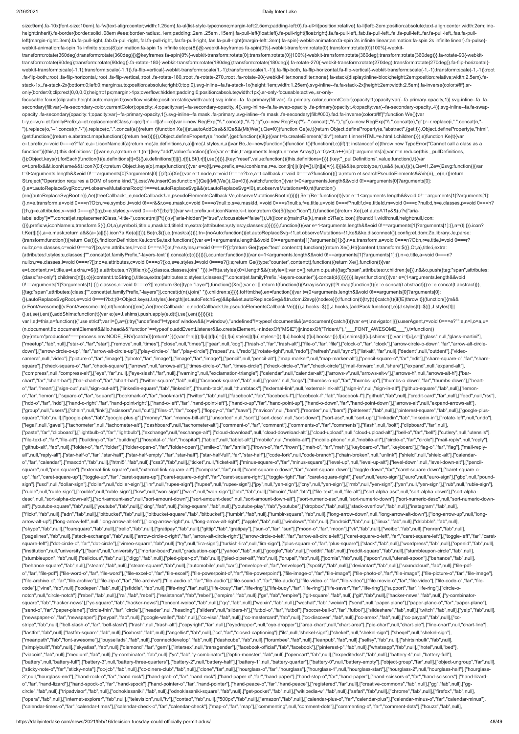#### 2/16/2021 Daily Inter Lake

size:9em}.fa-10x{font-size:10em}.fa-fw{text-align:center;width:1.25em}.fa-ul{list-style-type:none;margin-left:2.5em;padding-left:0}.fa-ul>li{position:relative}.fa-li{left:-2em;position:absolute;text-align:center;width:2em; height:inherit}.fa-border{border:solid .08em #eee;border-radius:.1em;padding:.2em .25em .15em}.fa-pull-left{float:left}.fa-pull-right{float:right}.fa.fa-pull-left,.fab.fa-pull-left,.fab.fa-pull-left,.far.fa-pull-left,.far. left{margin-right:.3em}.fa.fa-pull-right,.fab.fa-pull-right,.fal.fa-pull-right,.fal.fa-pull-right,.far.fa-pull-right,.far.fa-pull-right,.fas.fa-pull-right(nargin-left:.3em}.fa-spin{-webkit-animation:fa-spin 2s infinite lin webkit-animation:fa-spin 1s infinite steps(8);animation:fa-spin 1s infinite steps(8)}@-webkit-keyframes fa-spin{0%{-webkit-transform:rotate(0);transform:rotate(0)}100%{-webkit-

focusable:focus{clip:auto;height:auto;margin:0;overflow:visible;position:static;width:auto}.svg-inline--fa .fa-primary{fill:var(--fa-primary-color,currentColor);opacity:1;opacity:1-a-primary-opacity,1)}.svg-inline--fa .fasecondary{fill:var(--fa-secondary-color,currentColor);opacity:.4;opacity:var(--fa-secondary-opacity,.4)}.svg-inline--fa.fa-swap-opacity .fa-primary{opacity:.4;opacity:.4;opacity:or(--fa-secondary-opacity:a;opacity:4)}.svgopacity .fa-secondary{opacity:1;opacity:var(--fa-primary-opacity,1)}.svg-inline--fa mask .fa-primary,.svg-inline--fa mask .fa-secondary{fill:#000}.fad.fa-inverse{color:#fff}";function We(){var

transform:rotate(360deg);transform:rotate(360deg)}}@keyframes fa-spin{0%{-webkit-transform:rotate(0);transform:rotate(0)}100%{-webkit-transform:rotate(360deg);transform:rotate(360deg)}}.fa-rotate-90{-webkittransform:rotate(90deg);transform:rotate(90deg)}.fa-rotate-180{-webkit-transform:rotate(180deg);transform:rotate(180deg)}.fa-rotate-270{-webkit-transform:rotate(270deg);transform:rotate(270deg)}.fa-flip-horizontal{ webkit-transform:scale(-1,1);transform:scale(-1,1)}.fa-flip-vertical{-webkit-transform:scale(1,-1);transform:scale(1,-1)}.fa-flip-both,.fa-flip-both,sfa-flip-bothding-flip-boticals-flip-botical{-webkit-transform:scale(1,-1 .fa-flip-both,:root .fa-flip-horizontal,:root .fa-flip-vertical,:root .fa-rotate-180,:root .fa-rotate-270,:root .fa-rotate-90{-webkit-filter:none;filter:none}.fa-stack{display:inline-block;height:2em;position:relative;widt stack-1x,.fa-stack-2x{bottom:0;left:0;margin:auto;position:absolute;right:0;top:0}.svg-inline--fa.fa-stack-1x{height:1em;width:1.25em}.svg-inline--fa.fa-stack-2x{height:2em;width:2.5em}.fa-inverse{color:#fff}.sronly{border:0;clip:rect(0,0,0,0);height:1px;margin:-1px;overflow:hidden;padding:0;position:absolute;width:1px}.sr-only-focusable:active,.sr-only-

labelledby"]="".concat(et.replacementClass,"-title-").concat(m||Pt()):(v["aria-hidden"]="true",v.focusable="false")),Ut({icons:{main:Re(k),mask:c?Re(c.icon):{found:!1,width:null,height:null,icon: {}}},prefix:w,iconName:x,transform:\$({},Ot,a),symbol:i,title:u,maskId:l,titleId:m,extra:{attributes:v,styles:y,classes:p}})})}},function(t){var e=1<arguments.length&&void 0!==arguments[1]?arguments[1]:{},n=(t||{}).icon? t:Ke(t||{}),a=e.mask;return a&&(a=(a||{}).icon?a:Ke(a||{})),Be(n,\$({},e,{mask:a}))}),tn={noAuto:function(){et.autoReplaceSvg=!1,et.observeMutations=!1,ke&&ke.disconnect()},config:et,dom:Ze,library:Je,parse: {transform:function(t){return Ce(t)}},findIconDefinition:Ke,icon:\$e,text:function(t){var e=1<arguments.length&&void 0!==arguments[1]?arguments[1]:{},n=e.transform,a=void 0===n?Ot:n,r=e.title,i=void 0===r? null:r,o=e.classes,c=void 0===o?[]:o,s=e.attributes,l=void 0===s?{}:s,f=e.styles,u=void 0===f?{}:f;return Ge({type:"text",content:t},function(){return Xe(),Ht({content:t,transform:\$({},Ot,a),title:i,extra: {attributes:l,styles:u,classes:["".concat(et.familyPrefix,"-layers-text")].concat(d(c))}})})},counter:function(t){var e=1<arguments.length&&void 0!==arguments[1]?arguments[1]:{},n=e.title,a=void 0===n? null:n,r=e.classes,i=void 0===r?[]:r,o=e.attributes,c=void 0===o?{}:o,s=e.styles,l=void 0===s?{}:s;return Ge({type:"counter",content:t},function(){return Xe(),function(t){var

t=y,e=w,n=et.familyPrefix,a=et.replacementClass,r=qe;if(n!==t||a!==e){var i=new RegExp("\\.".concat(t,"\\-"),"g"),o=new RegExp("\\--".concat(t,"\\-"),"g"),c=new RegExp("\\.".concat(e),"g");r=r.replace(i,".".concat(n,"- ")).replace(o,"--".concat(n,"-")).replace(c,".".concat(a))}return r}function Xe(){et.autoAddCss&&!Qe&&(Mt(We()),Qe=!0)}function Ge(e,t){return Object.defineProperty(e,"abstract",{get:t}),Object.defineProperty(e,"html", {get:function(){return e.abstract.map(function(t){return he(t)})}}),Object.defineProperty(e,"node",{get:function(){if(p){var t=b.createElement("div");return t.innerHTML=e.html,t.children}}}),e}function Ke(t){var e=t.prefix,n=void 0===e?"fa":e,a=t.iconName;if(a)return me(Je.definitions,n,a)||me(J.styles,n,a)}var Be,Je=new(function(){function t(){!function(t,e){if(!(t instanceof e))throw new TypeError("Cannot call a class as a function")}(this,t),this.definitions={}}var e,n,a;return e=t,(n=[{key:"add",value:function(){for(var e=this,t=arguments.length,n=new Array(t),a=0;a<t;a++)n[a]=arguments[a];var r=n.reduce(this.\_pullDefinitions, {});Object.keys(r).forEach(function(t){e.definitions[t]=\$({},e.definitions[t]||{},r[t]),Bt(t,r[t]),se()})}},{key:"reset",value:function(){this.definitions={}}},{key:"\_pullDefinitions",value:function(i,t){var

e=t.content,n=t.title,a=t.extra,r=\$({},a.attributes,n?{title:n}:{},{class:a.classes.join("")}),i=Rt(a.styles);0<i.length&&(r.style=i);var o=[];return o.push({tag:"span",attributes:r,children:[e]}),n&&o.push({tag:"span",att {class:"sr-only"},children:[n]}),o}({content:t.toString(),title:a,extra:{attributes:c,styles:l,classes:["".concat(et.familyPrefix,"-layers-counter")].concat(d(i))}})})},layer:function(t){var e=(1<arguments.length&&void 0!==arguments[1]?arguments[1]:{}).classes,n=void 0===e?[]:e;return Ge({type:"layer"},function(){Xe();var e=[];return t(function(t){Array.isArray(t)?t.map(function(t){e=e.concat(t.abstract)}):e=e.concat(t.abstract)}), [{tag:"span",attributes:{class:["".concat(et.familyPrefix,"-layers")].concat(d(n)).join(" ")},children:e}]})},toHtml:he},en=function(){var t=(0<arguments.length&&void 0!==arguments[0]?arguments[0]: {}).autoReplaceSvgRoot,e=void 0===t?b:t;(0<Object.keys(J.styles).length||et.autoFetchSvg)&&p&&et.autoReplaceSvg&&tn.dom.i2svg({node:e})};!function(t){try{t()}catch(t){if(!E)throw t}}(function(){m&& (v.FontAwesome||(v.FontAwesome=tn),nt(function(){en(),Ae({treeCallback:\_e,nodeCallback:Ue,pseudoElementsCallback:Ve})})),J.hooks=\$({},J.hooks,{addPack:function(t,e){J.styles[t]=\$({},J.styles[t]|| {},e),se(),en()},addShims:function(t){var e;(e=J.shims).push.apply(e,d(t)),se(),en()}})})}();

o=t.prefix&&t.iconName&&t.icon?{0:t}:t;return Object.keys(o).map(function(t){var e=o[t],n=e.prefix,a=e.iconName,r=e.icon;i[n]||(i[n]={}),i[n][a]=r}),i}}])&&i(e.prototype,n),a&&i(e,a),t}()),Qe=!1,Ze={i2svg:function(){var t=0<arguments.length&&void 0!==arguments[0]?arguments[0]:{};if(p){Xe();var e=t.node,n=void 0===e?b:e,a=t.callback,r=void 0===a?function(){}:a;return et.searchPseudoElements&&Ve(n),\_e(n,r)}return St.reject("Operation requires a DOM of some kind.")},css:We,insertCss:function(){Qe||(Mt(We()),Qe=!0)},watch:function(){var t=0<arguments.length&&void 0!==arguments[0]?arguments[0]: {},e=t.autoReplaceSvgRoot,n=t.observeMutationsRoot;!1===et.autoReplaceSvg&&(et.autoReplaceSvg=!0),et.observeMutations=!0,nt(function()

{en({autoReplaceSvgRoot:e}),Ae({treeCallback:\_e,nodeCallback:Ue,pseudoElementsCallback:Ve,observeMutationsRoot:n})})}},\$e=(Be=function(t){var e=1<arguments.length&&void 0!==arguments[1]?arguments[1]: {},n=e.transform,a=void 0===n?Ot:n,r=e.symbol,i=void 0!==r&&r,o=e.mask,c=void 0===o?null:o,s=e.maskId,l=void 0===s?null:s,f=e.title,u=void 0===f?null:f,d=e.titleId,m=void 0===d?null:d,h=e.classes,p=void 0===h? []:h,g=e.attributes,v=void 0===g?{}:g,b=e.styles,y=void 0===b?{}:b;if(t){var w=t.prefix,x=t.iconName,k=t.icon;return Ge(\$({type:"icon"},t),function(){return Xe(),et.autoA11y&&(u?v["aria-

var l,a;l=this,a=function(){"use strict";var l={},a={};try{"undefined"!=typeof window&&(l=window),"undefined"!=typeof document&&(a=document)}catch(l){}var e=(l.navigator|{}}).userAgent,r=void 0===e?"":e,n=l,o=a,u= (n.document,!!o.documentElement&&!!o.head&&"function"==typeof o.addEventListener&&o.createElement,~r.indexOf("MSIE")||r.indexOf("Trident/"),"\_\_\_FONT\_AWESOME\_\_\_"),t=function() {try{return"production"===process.env.NODE\_ENV}catch(l){return!1}}();var f=n||{};f[u]||(f[u]={}),f[u].styles||(f[u].shyles={}),f[u].hooks||(f[u].hooks={}),f[u].shims||(f[u].shims=[]);var i=f[u],s=[["glass",null,"glass-mart ["meetup","fab",null],["star-o","far","star"],["remove",null,"times"],["close",null,"times"],["gear",null,"toog"],["trash-o","far","tarh-alt"],["file-o","far","falr","far","clock-o","far","clock"],["arrow-circle-o-down","f down"],["arrow-circle-o-up","far","arrow-alt-circle-up"],["play-circle-o","far","play-circle"],["repeat",null,"redo"],["rotate-right",null,"redo"],["refresh",null,"sync"],["list-alt","far","far","farl","dedent",null,"outde camera",null,"video"],["picture-o","far","image"],["photo","far","image"],["image","far","image"],["pencil",null,"pencil",null,"map-marker",null,"map-marker-alt"],["pencil-square-o","far","edit"],["share-square-o","far","s square"],["check-square-o","far","check-square"],["arrows",null,"arrows-alt"],["times-circle-o","far","times-circle"],["check-circle-o","far","check-circle-o","far","check-circle-o","far","check-circle-o","far","check-circ ["compress",null,"compress-alt"],["eye","far",null],["eye-slash","far",null],["warning",null,"exclamation-triangle"],["calendar",null,"calendar-alt"],["arrows-v",null,"arrows-alt-v"],["arrows-h",null,"arrows-alt-h"],["barchart","far","chart-bar"],["bar-chart-o","far","chart-bar"],["twitter-square","fab",null],["facebook-square","fab",null],["gears",null,"cogs"],["thumbs-o-up","far","thumbs-o-down","far","thumbs-down"],["heart-fourng,["hear o","far","heart"],["sign-out",null,"sign-out-alt"],["linkedin-square","fab","linkedin"],["thumb-tack",null,"thumbtack"],["external-link",null,"external-link-alt"],["sign-in",null,"sign-in-alt"],["github-square","fab",null] o","far","lemon"],["square-o","far","square"],["bookmark-o","far","bookmark"],["twitter","fab",null],["facebook","fab","facebook-f"],["facebook-f","fab","facebook-f"],["facebook-f"],["github","fab",null],["credit-card","fa ["hdd-o","far","hdd"],["hand-o-right","far","hand-point-right"],["hand-o-left","far","hand-point-left"],["hand-o-up","far","hand-point-up"],["hand-o-down","far","hand-point-down"],["arrows-alt",null,"expand-arrows-alt"], ["group",null,"users"],["chain",null,"link"],["scissors",null,"cut"],["files-o","far","copy"],["floppy-o","far","save"],["navicon",null,"bars"],["reorder",null,"bars"],["pinterest',"fab",null],["pinterest-square","fab",nul square","fab",null],["google-plus","fab","google-plus-g"],["money","far","money-bill-alt"],["unsorted",null,"sort-desc",null,"sort-down"],["sort-asc",null,"sort-up"],["inkedin","fab","linkedin-in"],["rotate-left",null,"und ["legal",null,"gavel"],["tachometer",null,"tachometer-alt"],["dashboard",null,"tachometer-alt"],["comment-o","far","comment"],["comments-o","far","comments"],["flash",null,"bolt"],["clipboard","far",null],"tar",null],"tach ["paste","far","clipboard"],["lightbulb-o","far","lightbulb"],["exchange",null,"exchange-alt"],["cloud-download",null,"cloud-download-alt"],["cloud-upload-alt"],["cloud-alt"],["bell-o","far","bell"],["cutlery",null,"utensi ["file-text-o","far","file-alt"],["building-o","far","building"],["hospital-o","far","hospital-],["tablet",null,"tablet-alt"],["mobile-nt"],["mobile-phone",null,"mobile-alt"],["mobile-alt"],["circle-o","far","circle"],["ma ["github-alt","fab",null],["folder-o","far","folder"],["folder-open-o","far","folder-open"],["smile-o","far","smile"],["fown-o","far","fown"],["meh-o","far","meh"],["keyboard-o","far","keyboard"],["flag-o","far","flag"],[" all",null,"reply-all"],["star-half-o","far","star-half"],["star-half-empty","far","star-half"],["star-half-full","far","star-halff"],["star-half-full","far","star-half-full","far","star-half"],["code-fork",null,"code-branc o","far","calendar"],["maxcdn","fab",null],["html5","fab",null],["css3","fab",null],["css3","fab",null],["cket",null],"thcket-alt"],["minus-square-o","far","minus-square"],["level-up",null,"level-up-alt"],["level-down",nul square",null,"pen-square"],["external-link-square",null,"external-link-square-alt"],["compass","far",null],["caret-square-o-down","far","caret-square-down"],["toggle-down","far","caret-square-down"],["caret-square-down"],[ up","far","caret-square-up"],["toggle-up","far","caret-square-up"],["caret-square-o-right","far","caret-square-right"],["toggle-right","far","caret-square-right"],["coret-square-ight"],["coret-square-right"],["cogle-right" sign"],["usd",null,"dollar-sign"],["dollar",null,"dollar-sign"],["inr",null,"rupee-sign"],["inpee-sign"],["inpee-sign"],["inpee-sign"],["ppy",null,"yen-sign"],["cny",null,"yen-sign"],["rmb",null,"yen-sign"],["ryen",null,"y ["ruble",null,"ruble-sign"],["rouble",null,"ruble-sign"],["krw",null,"won-sign"],["won",null,"won-sign"],["bitc","fab",null],["bitcoin","fab","bitc"],["ile-text",null,"file-alt"],["sort-alpha-asc",null,"sort-alpha-down"],[ desc",null,"sort-alpha-down-alt"],["sort-amount-asc",null,"sort-amount-down"],["sort-amount-desc",null,"sort-amount-down-alt"],["sort-numeric-asc",null,"sort-numeric-down"],["sort-numeric-desc",null,"sort-numeric-downalt"],["youtube-square","fab",null],["youtube","fab",null],["xing","fab",null],["xing-square","fab",null],["youtube-play","fab","youtube"],["dropbox","fab",null],["stack-overflow","fab",null],["instagram","fab",null], ["flickr","fab",null],["adn","fab",null],["bitbucket","fab",null],["bitbucket-square","fab","bitbucket-square","fab","bitbucket"],["tumblr","fab",null],["tumblr",square","fab",null],["loimblr",null,"long-arrow-queng","fab" arrow-alt-up"],["long-arrow-left",null,"long-arrow-alt-left"],["long-arrow-right",null,"long-arrow-alt-right"],["apple","fab",null],["windows","fab",null],["android","fab",null],["linux","fab",null],["dribbble","fab",null], ["skype","fab",null],["foursquare","fab",null],["trello","fab",null],["gratipay","fab",null],["gittip","fab","gratipay"],["sun-o","far","sun"],["moon-o","far","moon"],["weib",null],["weibo","fab",null],["renren","fab",null ["pagelines","fab",null],["stack-exchange","fab",null],["arrow-circle-o-right","far","arrow-alt-circle-right"],["arrow-circle-o-left","far","arrow-circle-o-left","far","arrow-circle-o-left","far","caret-square-left","carre square-left"],["dot-circle-o","far","dot-circle"],["vimeo-square","fab",null],["try",null,"lira-sign"],["turkish-lira",null,"lira-sign"],["plus-square-o","far","plus-square"],["slack","fab",null],["wordpress","fab",null],[ ["institution",null,"university"],["bank",null,"university"],["mortar-board",null,"graduation-cap"],["yahoo","fab",null],["google","fab",null],["reddit","fab",null],["reddit-square","fab",null],["stumbleupon-circle","fab", ["stumbleupon","fab",null],["delicious","fab",null],["digg","fab",null],["pied-piper-pp","fab",null],["pied-piper-alt","fab",null],["dorna","fab",null],["joomla","fab",null],["joomla","fab",null],["spoon",null,"utensil-spo ["behance-square","fab",null],["steam","fab",null],["steam-square","fab",null],["automobile",null,"car"],["envelope-o","far","envelope"],["spotify","fab",null],["deviantart","fab",null],["soundcloud","fab",null],["file-pdfo","far","file-pdf"],["file-word-o","far","file-word"],["file-excel-o","far","file-excel"],["file-excel=o","far","file-excel-o","far","file-powerpoint-o","far","file-powerpoint"],["file-image-o","far","file-image"],["file-["file-archive-o","far","file-archive"],["file-zip-o","far","file-archive"],["file-audio-o","far","file-audio"],["file-sumd-o","far","far-sund-o","far","file-sudio"],["file-sudio"],["file-video",["file-video"],["file-video code"],["vine","fab",null],["codepen","fab",null],["jsfiddle","fab",null],["life-ring","far",null],["life-bouy","far","life-bouy","far","life-bouy","far","life-boug","far","life-saver","far","life-sing"],["support","far"," notch",null,"circle-notch"],["rebel","fab",null],["ra","fab","rebel"],["resistance","fab","rebel"],["empire","fab",null],["ge","fab","empire"],["git-square","fab",null],["git","fab",null],["yit","fab",null],["yit-"fab",nul square","fab","hacker-news"],["yc-square","fab","hacker-news"],["tencent-weibo","fab",null],["qq","fab",null],["weixin","fab",null],["wechat","fab","weixin"],["send",null,"paper-plane"],["paper-plane-o","far","paper-plane" ["send-o","far","paper-plane"],["circle-thin","far","circle"],["header",null,"heading"],["sliders",null,"sliders-h"],["tutbol-o","far","futbol"],["soccer-ball-o","far","futbol"],["slideshare","fab",null],["twitch","fab",nu ["newspaper-o","far","newspaper"],["paypal","fab",null],["google-wallet","fab",null],["cc-visa","fab",null],["cc-mastercard","fab",null],["cc-discover","fab",null],["cc-amex","fab",null],["cc-paypal","fab",null],["ccstripe","fab",null],["bell-slash-o","far","bell-slash'],["trash",null,"trash-alt"],["copyright","far",null],"eyedropper",null,"eve-dropper"],["area-chart",null,"chart-area"],["pe-chart",null,"chart-pie"],["line-chart",null ["lastfm","fab",null],["lastfm-square","fab",null],["ioxhost","fab",null],["angellist","fab",null],["cc","far","closed-captioning"],["ils",null,"shekel-sign"],["shekel",null,"shekel-sign"],["sheqel",null,"shekel-sign"], ["meanpath","fab","font-awesome"],["buysellads","fab",null],["connectdevelop","fab",null],["dashcube","fab",null],["forumbee","fab",null],["leanpub","fab",null],["sellsy","fab",null],["shirtsinbulk","fab",null], ["simplybuilt","fab",null],["skyatlas","fab",null],["diamond","far","gem"],["intersex",null,"transgender"],["facebook-official","fab","facebook"],["pinterest-p","fab",null],["whatsapp","fab",null],["hotel",null,"bed"], ["viacoin","fab",null],["medium","fab",null],["y-combinator","fab",null],["yc","fab","y-combinator"],["optin-monster","fab",null],["opencart","fab",null],["expeditedssl","fab",null],["battery-4",null,"battery-full"], ["battery",null,"battery-full"],["battery-3",null,"battery-three-quarters"],["battery-2",null,"battery-half"],["battery-1",null,"battery-quarter"],["battery-quarter"],["battery-quarter"],["battery-0",null,"battery-empty"], ["sticky-note-o","far","sticky-note"],["cc-jcb","fab",null],["cc-diners-club","fab",null],["clone","far",null],["hourglass-o","far","hourglass"],["hourglass-1",null,"hourglass-start"],["hourglass-2",null,"hourglass-half"], 3",null,"hourglass-end"],["hand-rock-o","far","hand-rock"],["hand-grab-o","far","hand-rock"],["hand-paper-o","far","hand-paper"],["hand-stip-o","far","hand-scissors-o","far","hand-scissors"],["hand-lizardo","far","hand-lizard"],["hand-spock-o","far","hand-spock"],["hand-pointer-o","far","hand-pointer"],["hand-peace-o","far","hand-peace"],["registered","far",null],["creative-commons","fab",null],["gg","fab",null],["ggcircle","fab",null],["tripadvisor","fab",null],["odnoklassniki","fab",null],["odnoklassniki-square","fab",null],["get-pocket","fab",null],["wikipedia-w","fab",null],["safari","fab",null],["chrome","fab",null],["firefox","f ["opera","fab",null],["internet-explorer","fab",null],["television",null,"tv"],["contao","fab",null],["500px","fab",null],["amazon","fab",null],["calendar-plus-o","far","calendar-plus"],["calendar-minus-o","far","calendar-["calendar-times-o","far","calendar-times"],["calendar-check-o","far","calendar-check"],["map-o","far","map"],["commenting",null,"comment-dots"],["commenting-o","far","comment-dots"],["houzz","fab",null],